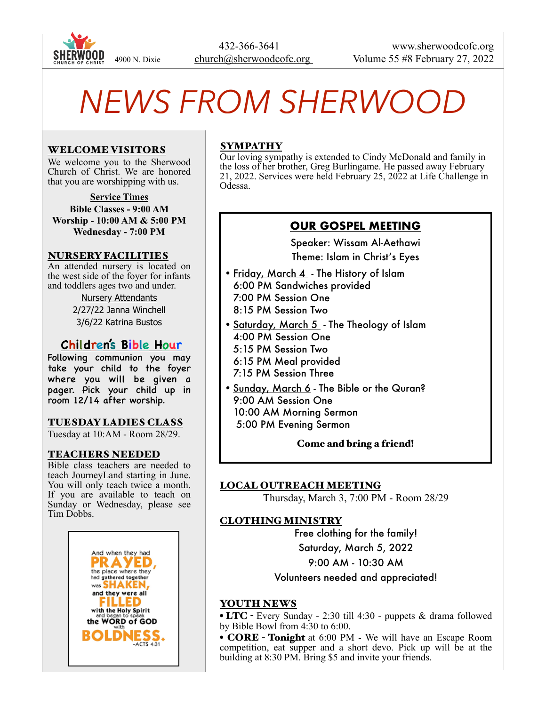

# *NEWS FROM SHERWOOD*

## WELCOME VISITORS

We welcome you to the Sherwood Church of Christ. We are honored that you are worshipping with us.

**Service Times Bible Classes - 9:00 AM Worship - 10:00 AM & 5:00 PM Wednesday - 7:00 PM**

#### NURSERY FACILITIES

An attended nursery is located on the west side of the foyer for infants and toddlers ages two and under.

> Nursery Attendants 2/27/22 Janna Winchell 3/6/22 Katrina Bustos

# **Children's Bible Hour**

Following communion you may take your child to the foyer where you will be given a pager. Pick your child up in room 12/14 after worship.

#### TUESDAY LADIES CLASS

Tuesday at 10:AM - Room 28/29.

#### TEACHERS NEEDED

Bible class teachers are needed to teach JourneyLand starting in June. You will only teach twice a month. If you are available to teach on Sunday or Wednesday, please see Tim Dobbs.



# **SYMPATHY**

Our loving sympathy is extended to Cindy McDonald and family in the loss of her brother, Greg Burlingame. He passed away February 21, 2022. Services were held February 25, 2022 at Life Challenge in Odessa.

# **OUR GOSPEL MEETING**

Speaker: Wissam Al-Aethawi Theme: Islam in Christ's Eyes

- Friday, March 4 The History of Islam 6:00 PM Sandwiches provided 7:00 PM Session One 8:15 PM Session Two
- Saturday, March 5 The Theology of Islam 4:00 PM Session One
	- 5:15 PM Session Two
	- 6:15 PM Meal provided
	- 7:15 PM Session Three
- Sunday, March 6 The Bible or the Quran? 9:00 AM Session One 10:00 AM Morning Sermon 5:00 PM Evening Sermon

#### Come and bring a friend!

## LOCAL OUTREACH MEETING

Thursday, March 3, 7:00 PM - Room 28/29

## CLOTHING MINISTRY

Free clothing for the family! Saturday, March 5, 2022 9:00 AM - 10:30 AM

## Volunteers needed and appreciated!

#### YOUTH NEWS

• LTC - Every Sunday - 2:30 till 4:30 - puppets & drama followed by Bible Bowl from 4:30 to 6:00.

• **CORE** - **Tonight** at 6:00 PM - We will have an Escape Room competition, eat supper and a short devo. Pick up will be at the building at 8:30 PM. Bring \$5 and invite your friends.